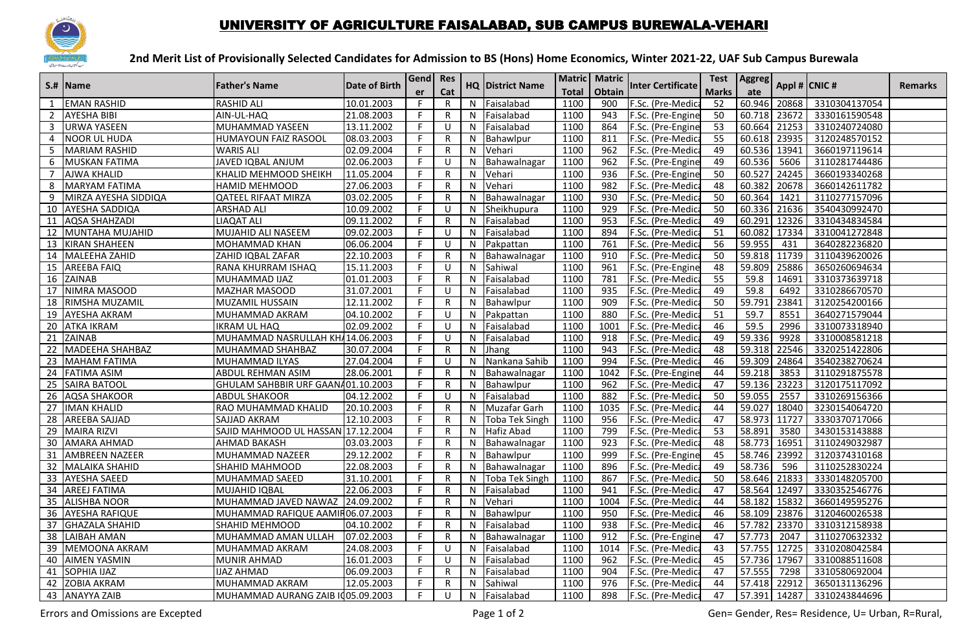

## UNIVERSITY OF AGRICULTURE FAISALABAD, SUB CAMPUS BUREWALA-VEHARI

## **2nd Merit List of Provisionally Selected Candidates for Admission to BS (Hons) Home Economics, Winter 2021-22, UAF Sub Campus Burewala**

|                 | S.#  Name             | <b>Father's Name</b>               | Date of Birth           | Gend Res<br>er |              |              | <b>HQ District Name</b> |              | Matric   Matric | Inter Certificate       | <b>Test</b>     | Aggreg       |       | Appl # CNIC # | <b>Remarks</b> |
|-----------------|-----------------------|------------------------------------|-------------------------|----------------|--------------|--------------|-------------------------|--------------|-----------------|-------------------------|-----------------|--------------|-------|---------------|----------------|
|                 |                       |                                    |                         |                | Cat          |              |                         | <b>Total</b> | Obtain          |                         | <b>Marks</b>    | ate          |       |               |                |
| -1              | <b>EMAN RASHID</b>    | <b>RASHID ALI</b>                  | 10.01.2003              | F              | $\mathsf{R}$ | N            | Faisalabad              | 1100         | 900             | F.Sc. (Pre-Medic        | 52              | 60.946       | 20868 | 3310304137054 |                |
| 2               | <b>AYESHA BIBI</b>    | AIN-UL-HAQ                         | 21.08.2003              | F              | $\mathsf{R}$ | N            | Faisalabad              | 1100         | 943             | F.Sc. (Pre-Engine       | 50              | 60.718       | 23672 | 3330161590548 |                |
| 3               | URWA YASEEN           | MUHAMMAD YASEEN                    | 13.11.2002              | F.             | U            | N            | Faisalabad              | 1100         | 864             | F.Sc. (Pre-Engine       | $\overline{53}$ | 60.664       | 21253 | 3310240724080 |                |
| $\overline{4}$  | NOOR UL HUDA          | HUMAYOUN FAIZ RASOOL               | 08.03.2003              | E              | $\mathsf{R}$ | N            | Bahawlpur               | 1100         | 811             | F.Sc. (Pre-Medic        | 55              | 60.618       | 23935 | 3120248570152 |                |
| 5               | <b>MARIAM RASHID</b>  | <b>WARIS ALI</b>                   | 02.09.2004              | F              | $\mathsf{R}$ | N            | Vehari                  | 1100         | 962             | F.Sc. (Pre-Medic        | 49              | 60.536       | 13941 | 3660197119614 |                |
| 6               | <b>MUSKAN FATIMA</b>  | JAVED IQBAL ANJUM                  | 02.06.2003              | F              | U            | N            | Bahawalnagar            | 1100         | 962             | F.Sc. (Pre-Engine       | 49              | 60.536       | 5606  | 3110281744486 |                |
| $\overline{7}$  | <b>AJWA KHALID</b>    | KHALID MEHMOOD SHEIKH              | 11.05.2004              | F              | $\mathsf{R}$ | N            | Vehari                  | 1100         | 936             | F.Sc. (Pre-Engine       | 50              | 60.527       | 24245 | 3660193340268 |                |
| 8               | <b>MARYAM FATIMA</b>  | <b>HAMID MEHMOOD</b>               | $\overline{27.06.2003}$ | F              | R            | N            | Vehari                  | 1100         | 982             | F.Sc. (Pre-Medic        | 48              | 60.382       | 20678 | 3660142611782 |                |
| 9               | MIRZA AYESHA SIDDIQA  | <b>QATEEL RIFAAT MIRZA</b>         | 03.02.2005              | F              | $\mathsf{R}$ | N            | Bahawalnagar            | 1100         | 930             | F.Sc. (Pre-Medic        | 50              | 60.364       | 1421  | 3110277157096 |                |
| 10              | <b>AYESHA SADDIQA</b> | <b>ARSHAD ALI</b>                  | 10.09.2002              | F              | U            | N            | Sheikhupura             | 1100         | 929             | F.Sc. (Pre-Medic        | $\overline{50}$ | 60.336       | 21636 | 3540430992470 |                |
| 11              | <b>AQSA SHAHZADI</b>  | <b>LIAQAT ALI</b>                  | 09.11.2002              | F              | $\mathsf{R}$ | N            | Faisalabad              | 1100         | 953             | F.Sc. (Pre-Medic        | 49              | 60.291       | 12326 | 3310434834584 |                |
| 12              | MUNTAHA MUJAHID       | MUJAHID ALI NASEEM                 | 09.02.2003              | F.             | U            | N            | Faisalabad              | 1100         | 894             | F.Sc. (Pre-Medic        | $\overline{51}$ | 60.082       | 17334 | 3310041272848 |                |
| 13 <sup>1</sup> | <b>KIRAN SHAHEEN</b>  | MOHAMMAD KHAN                      | 06.06.2004              | F              | $\cup$       | N            | Pakpattan               | 1100         | 761             | <b>F.Sc. (Pre-Medic</b> | 56              | 59.955       | 431   | 3640282236820 |                |
|                 | 14 MALEEHA ZAHID      | ZAHID IQBAL ZAFAR                  | 22.10.2003              | F              | $\mathsf{R}$ | N            | Bahawalnagar            | 1100         | 910             | F.Sc. (Pre-Medic        | 50              | 59.818       | 11739 | 3110439620026 |                |
|                 | 15 AREEBA FAIQ        | RANA KHURRAM ISHAQ                 | 15.11.2003              | E              | $\cup$       | N            | Sahiwal                 | 1100         | 961             | F.Sc. (Pre-Engine       | 48              | 59.809       | 25886 | 3650260694634 |                |
|                 | 16 ZAINAB             | MUHAMMAD IJAZ                      | 01.01.2003              | F              | $\mathsf{R}$ | N            | Faisalabad              | 1100         | 781             | F.Sc. (Pre-Medica       | 55              | 59.8         | 14691 | 3310373639718 |                |
| 17              | NIMRA MASOOD          | MAZHAR MASOOD                      | 31.07.2001              | F              | U            | N            | Faisalabad              | 1100         | 935             | F.Sc. (Pre-Medic        | 49              | 59.8         | 6492  | 3310286670570 |                |
| 18              | <b>RIMSHA MUZAMIL</b> | MUZAMIL HUSSAIN                    | 12.11.2002              | F              | $\mathsf{R}$ | N            | Bahawlpur               | 1100         | 909             | F.Sc. (Pre-Medic        | 50              | 59.791       | 23841 | 3120254200166 |                |
|                 | 19 AYESHA AKRAM       | MUHAMMAD AKRAM                     | 04.10.2002              | F              | U            | N            | Pakpattan               | 1100         | 880             | F.Sc. (Pre-Medic        | 51              | 59.7         | 8551  | 3640271579044 |                |
|                 | 20 ATKA IKRAM         | <b>IKRAM UL HAQ</b>                | 02.09.2002              | F              | U            | N            | Faisalabad              | 1100         | 1001            | F.Sc. (Pre-Medic        | 46              | 59.5         | 2996  | 3310073318940 |                |
| 21              | ZAINAB                | MUHAMMAD NASRULLAH KH414.06.2003   |                         | F              | U            | N            | Faisalabad              | 1100         | 918             | F.Sc. (Pre-Medic        | 49              | 59.336       | 9928  | 3310008581218 |                |
| $\overline{22}$ | MADEEHA SHAHBAZ       | MUHAMMAD SHAHBAZ                   | 30.07.2004              | F.             | $\mathsf{R}$ | N            | Jhang                   | 1100         | 943             | F.Sc. (Pre-Medic        | 48              | 59.318       | 22546 | 3320251422806 |                |
|                 | 23 MAHAM FATIMA       | MUHAMMAD ILYAS                     | 27.04.2004              | F              | $\cup$       | N            | Nankana Sahib           | 1100         | 994             | F.Sc. (Pre-Medic        | 46              | 59.309       | 24864 | 3540238270624 |                |
|                 | 24 FATIMA ASIM        | ABDUL REHMAN ASIM                  | 28.06.2001              | F              | $\mathsf{R}$ | N            | Bahawalnagar            | 1100         | 1042            | F.Sc. (Pre-Engine       | 44              | 59.218       | 3853  | 3110291875578 |                |
| 25              | <b>SAIRA BATOOL</b>   | GHULAM SAHBBIR URF GAAN401.10.2003 |                         | F              | $\mathsf{R}$ | N            | Bahawlpur               | 1100         | 962             | F.Sc. (Pre-Medic        | 47              | 59.136       | 23223 | 3120175117092 |                |
| 26              | <b>AQSA SHAKOOR</b>   | <b>ABDUL SHAKOOR</b>               | 04.12.2002              | F.             | U            | N            | Faisalabad              | 1100         | 882             | F.Sc. (Pre-Medica       | 50              | 59.055       | 2557  | 3310269156366 |                |
| 27              | <b>IMAN KHALID</b>    | RAO MUHAMMAD KHALID                | 20.10.2003              | F              | $\mathsf{R}$ | N            | Muzafar Garh            | 1100         | 1035            | F.Sc. (Pre-Medic        | 44              | 59.027       | 18040 | 3230154064720 |                |
| 28              | <b>AREEBA SAJJAD</b>  | SAJJAD AKRAM                       | 12.10.2003              | F              | R            | N            | <b>Toba Tek Singh</b>   | 1100         | 956             | F.Sc. (Pre-Medic        | 47              | 58.973       | 11727 | 3330370717066 |                |
|                 | 29 MAIRA RIZVI        | SAJID MAHMOOD UL HASSAN 17.12.2004 |                         | F              | $\mathsf{R}$ | N            | Hafiz Abad              | 1100         | 799             | F.Sc. (Pre-Medic        | $\overline{53}$ | 58.891       | 3580  | 3430153143888 |                |
| 30              | <b>AMARA AHMAD</b>    | <b>AHMAD BAKASH</b>                | 03.03.2003              | F              | $\mathsf{R}$ | N            | Bahawalnagar            | 1100         | 923             | F.Sc. (Pre-Medica       | 48              | 58.773       | 16951 | 3110249032987 |                |
| 31              | <b>AMBREEN NAZEER</b> | MUHAMMAD NAZEER                    | 29.12.2002              | F              | $\mathsf{R}$ | N            | Bahawlpur               | 1100         | 999             | F.Sc. (Pre-Engine       | 45              | 58.746       | 23992 | 3120374310168 |                |
|                 | 32 MALAIKA SHAHID     | SHAHID MAHMOOD                     | 22.08.2003              | F              | $\mathsf{R}$ | N            | Bahawalnagar            | 1100         | 896             | F.Sc. (Pre-Medica       | 49              | 58.736       | 596   | 3110252830224 |                |
| $\overline{33}$ | <b>AYESHA SAEED</b>   | MUHAMMAD SAEED                     | 31.10.2001              | F              | R            | N            | Toba Tek Singh          | 1100         | 867             | F.Sc. (Pre-Medic        | 50              | 58.646       | 21833 | 3330148205700 |                |
| 34              | AREEJ FATIMA          | MUJAHID IQBAL                      | 22.06.2003              | F              | $\mathsf{R}$ | N            | Faisalabad              | 1100         | 941             | F.Sc. (Pre-Medic        | 47              | 58.564       | 12497 | 3330352546776 |                |
| 35              | <b>ALISHBA NOOR</b>   | MUHAMMAD JAVED NAWAZ 24.09.2002    |                         | F.             | $\mathsf{R}$ | N            | Vehari                  | 1100         | 1004            | F.Sc. (Pre-Medic        | 44              | 58.182       | 15832 | 3660149595276 |                |
| 36              | <b>AYESHA RAFIQUE</b> | MUHAMMAD RAFIQUE AAMIR06.07.2003   |                         | F              | $\mathsf{R}$ | N            | Bahawlpur               | 1100         | 950             | F.Sc. (Pre-Medic        | 46              | 58.109       | 23876 | 3120460026538 |                |
| 37              | <b>GHAZALA SHAHID</b> | SHAHID MEHMOOD                     | 04.10.2002              | F              | $\mathsf{R}$ | N            | Faisalabad              | 1100         | 938             | F.Sc. (Pre-Medica       | 46              | 57.782       | 23370 | 3310312158938 |                |
| 38              | LAIBAH AMAN           | MUHAMMAD AMAN ULLAH                | 07.02.2003              | F.             | $\mathsf{R}$ | N            | Bahawalnagar            | 1100         | 912             | F.Sc. (Pre-Engine       | 47              | 57.773       | 2047  | 3110270632332 |                |
| 39              | <b>MEMOONA AKRAM</b>  | MUHAMMAD AKRAM                     | 24.08.2003              | F              | U            | N            | Faisalabad              | 1100         | 1014            | F.Sc. (Pre-Medica       | 43              | 57.755       | 12725 | 3310208042584 |                |
| 40              | <b>AIMEN YASMIN</b>   | <b>MUNIR AHMAD</b>                 | 16.01.2003              | F              | $\cup$       | $\mathsf{N}$ | Faisalabad              | 1100         | 962             | F.Sc. (Pre-Medic        | 45              | 57.736       | 17967 | 3310088511608 |                |
| 41              | <b>SOPHIA IJAZ</b>    | <b>IJAZ AHMAD</b>                  | 06.09.2003              | F              | $\mathsf{R}$ | N            | Faisalabad              | 1100         | 904             | F.Sc. (Pre-Medica       | 47              | 57.555       | 7298  | 3310580692004 |                |
|                 | 42 ZOBIA AKRAM        | MUHAMMAD AKRAM                     | 12.05.2003              | F              | $\mathsf{R}$ | N            | Sahiwal                 | 1100         | 976             | F.Sc. (Pre-Medica       | 44              | 57.418       | 22912 | 3650131136296 |                |
|                 | 43 ANAYYA ZAIB        | MUHAMMAD AURANG ZAIB IQ05.09.2003  |                         | F.             | U            | N            | Faisalabad              | 1100         | 898             | F.Sc. (Pre-Medica       | 47              | 57.391 14287 |       | 3310243844696 |                |